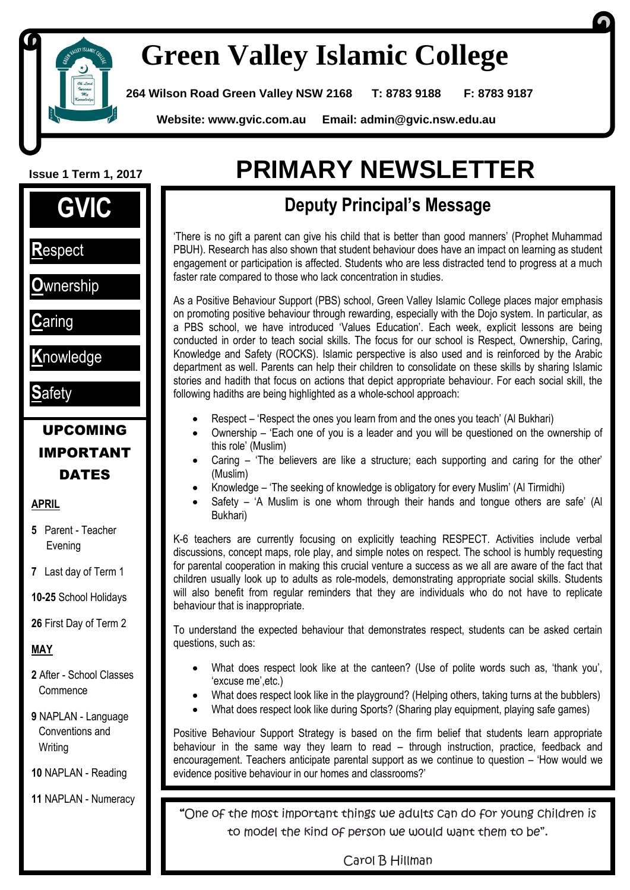

I

# **Green Valley Islamic College**

**264 Wilson Road Green Valley NSW 2168 T: 8783 9188 F: 8783 9187**

 **Website: www.gvic.com.au Email: [admin@gvic.nsw.edu.au](mailto:admin@gvic.com.au)**



#### UPCOMING IMPORTANT DATES

#### **APRIL**

- **5** Parent Teacher Evening
- **7** Last day of Term 1

**10-25** School Holidays

**26** First Day of Term 2

**MAY**

**2** After - School Classes Commence

**9** NAPLAN - Language Conventions and **Writing** 

**10** NAPLAN - Reading

**11** NAPLAN - Numeracy

# **Issue 1 Term 1, <sup>2017</sup> PRIMARY NEWSLETTER**

### **Deputy Principal's Message**

'There is no gift a parent can give his child that is better than good manners' (Prophet Muhammad PBUH). Research has also shown that student behaviour does have an impact on learning as student engagement or participation is affected. Students who are less distracted tend to progress at a much faster rate compared to those who lack concentration in studies.

As a Positive Behaviour Support (PBS) school, Green Valley Islamic College places major emphasis on promoting positive behaviour through rewarding, especially with the Dojo system. In particular, as a PBS school, we have introduced 'Values Education'. Each week, explicit lessons are being conducted in order to teach social skills. The focus for our school is Respect, Ownership, Caring, Knowledge and Safety (ROCKS). Islamic perspective is also used and is reinforced by the Arabic department as well. Parents can help their children to consolidate on these skills by sharing Islamic stories and hadith that focus on actions that depict appropriate behaviour. For each social skill, the following hadiths are being highlighted as a whole-school approach:

- Respect 'Respect the ones you learn from and the ones you teach' (Al Bukhari)
- Ownership 'Each one of you is a leader and you will be questioned on the ownership of this role' (Muslim)
- Caring 'The believers are like a structure; each supporting and caring for the other' (Muslim)
- Knowledge 'The seeking of knowledge is obligatory for every Muslim' (Al Tirmidhi)
- Safety 'A Muslim is one whom through their hands and tongue others are safe' (Al Bukhari)

K-6 teachers are currently focusing on explicitly teaching RESPECT. Activities include verbal discussions, concept maps, role play, and simple notes on respect. The school is humbly requesting for parental cooperation in making this crucial venture a success as we all are aware of the fact that children usually look up to adults as role-models, demonstrating appropriate social skills. Students will also benefit from regular reminders that they are individuals who do not have to replicate behaviour that is inappropriate.

To understand the expected behaviour that demonstrates respect, students can be asked certain questions, such as:

- What does respect look like at the canteen? (Use of polite words such as, 'thank you', 'excuse me',etc.)
- What does respect look like in the playground? (Helping others, taking turns at the bubblers)
- What does respect look like during Sports? (Sharing play equipment, playing safe games)

Positive Behaviour Support Strategy is based on the firm belief that students learn appropriate behaviour in the same way they learn to read – through instruction, practice, feedback and encouragement. Teachers anticipate parental support as we continue to question – 'How would we evidence positive behaviour in our homes and classrooms?'

"One of the most important things we adults can do for young children is to model the kind of person we would want them to be".

Carol B Hillman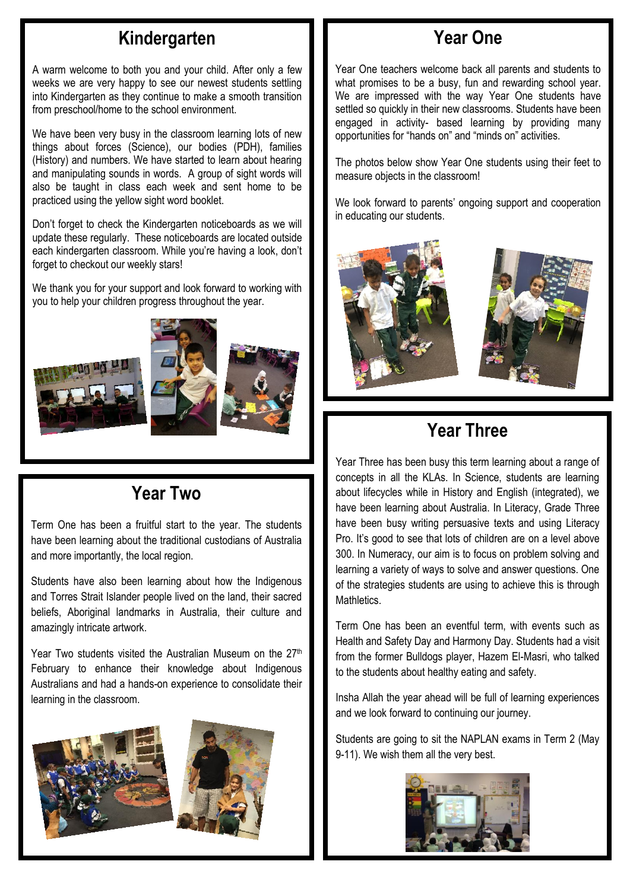#### **Kindergarten**

A warm welcome to both you and your child. After only a few weeks we are very happy to see our newest students settling into Kindergarten as they continue to make a smooth transition from preschool/home to the school environment.

We have been very busy in the classroom learning lots of new things about forces (Science), our bodies (PDH), families (History) and numbers. We have started to learn about hearing and manipulating sounds in words. A group of sight words will also be taught in class each week and sent home to be practiced using the yellow sight word booklet.

Don't forget to check the Kindergarten noticeboards as we will update these regularly. These noticeboards are located outside each kindergarten classroom. While you're having a look, don't forget to checkout our weekly stars!

We thank you for your support and look forward to working with you to help your children progress throughout the year.





## **Year Two**

Term One has been a fruitful start to the year. The students have been learning about the traditional custodians of Australia and more importantly, the local region.

Students have also been learning about how the Indigenous and Torres Strait Islander people lived on the land, their sacred beliefs, Aboriginal landmarks in Australia, their culture and amazingly intricate artwork.

Year Two students visited the Australian Museum on the 27<sup>th</sup> February to enhance their knowledge about Indigenous Australians and had a hands-on experience to consolidate their learning in the classroom.



֚֬֕



### **Year One**

Year One teachers welcome back all parents and students to what promises to be a busy, fun and rewarding school year. We are impressed with the way Year One students have settled so quickly in their new classrooms. Students have been engaged in activity- based learning by providing many opportunities for "hands on" and "minds on" activities.

The photos below show Year One students using their feet to measure objects in the classroom!

We look forward to parents' ongoing support and cooperation in educating our students.



### **Year Three**

Year Three has been busy this term learning about a range of concepts in all the KLAs. In Science, students are learning about lifecycles while in History and English (integrated), we have been learning about Australia. In Literacy, Grade Three have been busy writing persuasive texts and using Literacy Pro. It's good to see that lots of children are on a level above 300. In Numeracy, our aim is to focus on problem solving and learning a variety of ways to solve and answer questions. One of the strategies students are using to achieve this is through **Mathletics** 

Term One has been an eventful term, with events such as Health and Safety Day and Harmony Day. Students had a visit from the former Bulldogs player, Hazem El-Masri, who talked to the students about healthy eating and safety.

Insha Allah the year ahead will be full of learning experiences and we look forward to continuing our journey.

Students are going to sit the NAPLAN exams in Term 2 (May 9-11). We wish them all the very best.

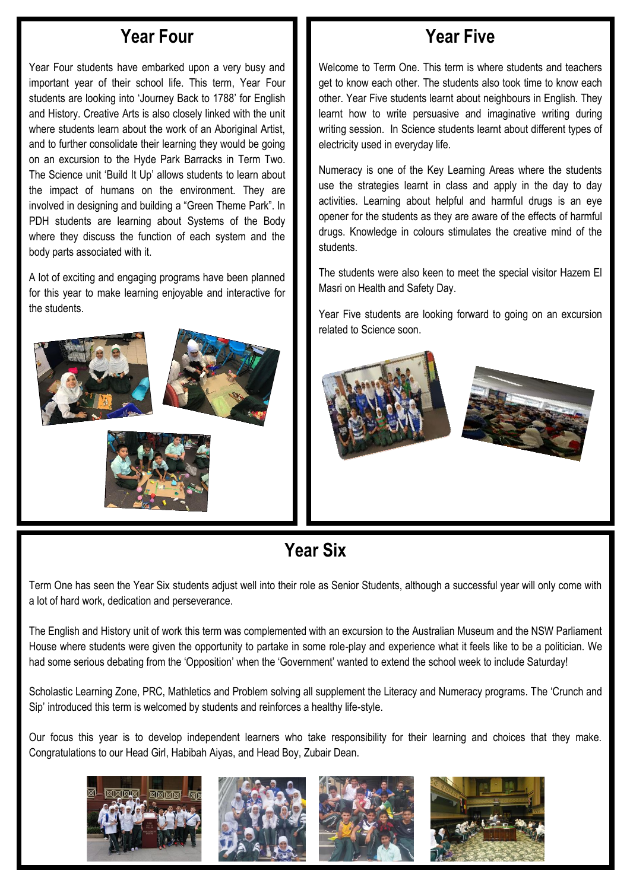#### **Year Four**

Year Four students have embarked upon a very busy and important year of their school life. This term, Year Four students are looking into 'Journey Back to 1788' for English and History. Creative Arts is also closely linked with the unit where students learn about the work of an Aboriginal Artist, and to further consolidate their learning they would be going on an excursion to the Hyde Park Barracks in Term Two. The Science unit 'Build It Up' allows students to learn about the impact of humans on the environment. They are involved in designing and building a "Green Theme Park". In PDH students are learning about Systems of the Body where they discuss the function of each system and the body parts associated with it.

A lot of exciting and engaging programs have been planned for this year to make learning enjoyable and interactive for the students.



### **Year Five**

Welcome to Term One. This term is where students and teachers get to know each other. The students also took time to know each other. Year Five students learnt about neighbours in English. They learnt how to write persuasive and imaginative writing during writing session. In Science students learnt about different types of electricity used in everyday life.

Numeracy is one of the Key Learning Areas where the students use the strategies learnt in class and apply in the day to day activities. Learning about helpful and harmful drugs is an eye opener for the students as they are aware of the effects of harmful drugs. Knowledge in colours stimulates the creative mind of the students.

The students were also keen to meet the special visitor Hazem El Masri on Health and Safety Day.

Year Five students are looking forward to going on an excursion related to Science soon.





**Year Six**

Term One has seen the Year Six students adjust well into their role as Senior Students, although a successful year will only come with a lot of hard work, dedication and perseverance.

The English and History unit of work this term was complemented with an excursion to the Australian Museum and the NSW Parliament House where students were given the opportunity to partake in some role-play and experience what it feels like to be a politician. We had some serious debating from the 'Opposition' when the 'Government' wanted to extend the school week to include Saturday!

Scholastic Learning Zone, PRC, Mathletics and Problem solving all supplement the Literacy and Numeracy programs. The 'Crunch and Sip' introduced this term is welcomed by students and reinforces a healthy life-style.

Our focus this year is to develop independent learners who take responsibility for their learning and choices that they make. Congratulations to our Head Girl, Habibah Aiyas, and Head Boy, Zubair Dean.